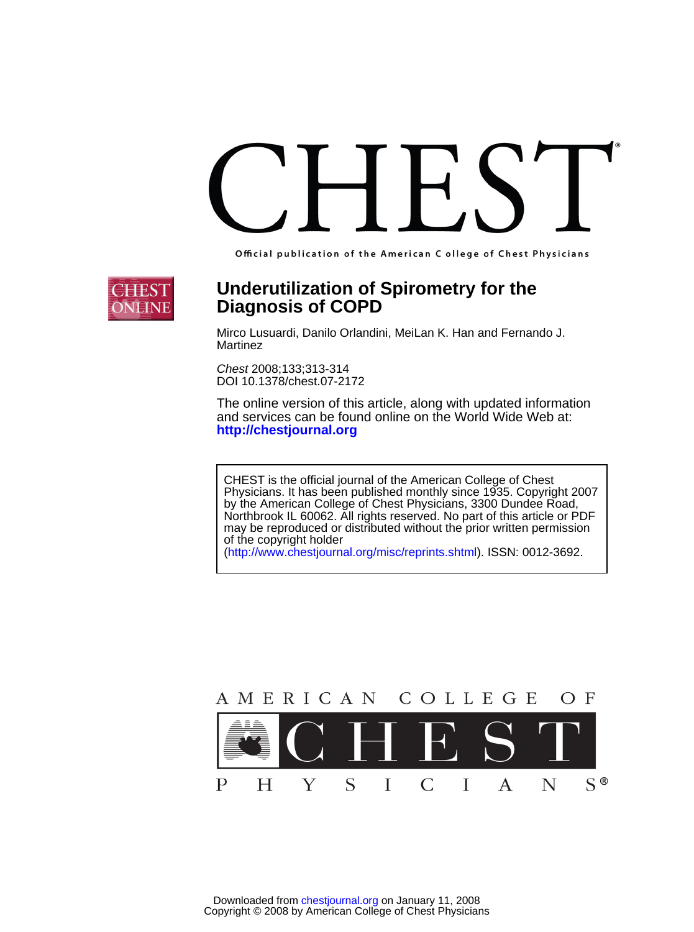Official publication of the American C ollege of Chest Physicians



# **Diagnosis of COPD Underutilization of Spirometry for the**

Martinez Mirco Lusuardi, Danilo Orlandini, MeiLan K. Han and Fernando J.

DOI 10.1378/chest.07-2172 Chest 2008;133;313-314

**<http://chestjournal.org>** and services can be found online on the World Wide Web at: The online version of this article, along with updated information

of the copyright holder may be reproduced or distributed without the prior written permission Northbrook IL 60062. All rights reserved. No part of this article or PDF by the American College of Chest Physicians, 3300 Dundee Road, Physicians. It has been published monthly since 1935. Copyright 2007 CHEST is the official journal of the American College of Chest

(http://www.chestjournal.org/misc/reprints.shtml). ISSN: 0012-3692.

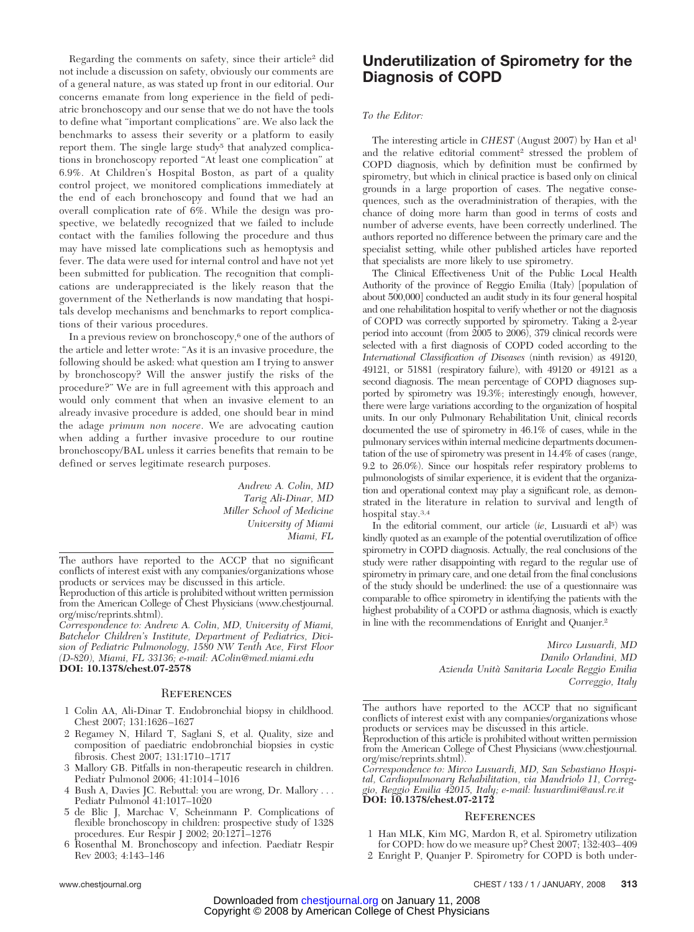Regarding the comments on safety, since their article2 did not include a discussion on safety, obviously our comments are of a general nature, as was stated up front in our editorial. Our concerns emanate from long experience in the field of pediatric bronchoscopy and our sense that we do not have the tools to define what "important complications" are. We also lack the benchmarks to assess their severity or a platform to easily report them. The single large study<sup>5</sup> that analyzed complications in bronchoscopy reported "At least one complication" at 6.9%. At Children's Hospital Boston, as part of a quality control project, we monitored complications immediately at the end of each bronchoscopy and found that we had an overall complication rate of 6%. While the design was prospective, we belatedly recognized that we failed to include contact with the families following the procedure and thus may have missed late complications such as hemoptysis and fever. The data were used for internal control and have not yet been submitted for publication. The recognition that complications are underappreciated is the likely reason that the government of the Netherlands is now mandating that hospitals develop mechanisms and benchmarks to report complications of their various procedures.

In a previous review on bronchoscopy,6 one of the authors of the article and letter wrote: "As it is an invasive procedure, the following should be asked: what question am I trying to answer by bronchoscopy? Will the answer justify the risks of the procedure?" We are in full agreement with this approach and would only comment that when an invasive element to an already invasive procedure is added, one should bear in mind the adage *primum non nocere*. We are advocating caution when adding a further invasive procedure to our routine bronchoscopy/BAL unless it carries benefits that remain to be defined or serves legitimate research purposes.

> *Andrew A. Colin, MD Tarig Ali-Dinar, MD Miller School of Medicine University of Miami Miami, FL*

The authors have reported to the ACCP that no significant conflicts of interest exist with any companies/organizations whose products or services may be discussed in this article.

Reproduction of this article is prohibited without written permission from the American College of Chest Physicians (www.chestjournal. org/misc/reprints.shtml).

*Correspondence to: Andrew A. Colin, MD, University of Miami, Batchelor Children's Institute, Department of Pediatrics, Division of Pediatric Pulmonology, 1580 NW Tenth Ave, First Floor (D-820), Miami, FL 33136; e-mail: AColin@med.miami.edu* **DOI: 10.1378/chest.07-2578**

#### **REFERENCES**

- 1 Colin AA, Ali-Dinar T. Endobronchial biopsy in childhood. Chest 2007; 131:1626 –1627
- 2 Regamey N, Hilard T, Saglani S, et al. Quality, size and composition of paediatric endobronchial biopsies in cystic fibrosis. Chest 2007; 131:1710 –1717
- 3 Mallory GB. Pitfalls in non-therapeutic research in children. Pediatr Pulmonol 2006; 41:1014 –1016
- 4 Bush A, Davies JC. Rebuttal: you are wrong, Dr. Mallory . . . Pediatr Pulmonol 41:1017–1020
- 5 de Blic J, Marchac V, Scheinmann P. Complications of flexible bronchoscopy in children: prospective study of 1328 procedures. Eur Respir J 2002; 20:1271–1276
- 6 Rosenthal M. Bronchoscopy and infection. Paediatr Respir Rev 2003; 4:143–146

## **Underutilization of Spirometry for the Diagnosis of COPD**

#### *To the Editor:*

The interesting article in *CHEST* (August 2007) by Han et al<sup>1</sup> and the relative editorial comment<sup>2</sup> stressed the problem of COPD diagnosis, which by definition must be confirmed by spirometry, but which in clinical practice is based only on clinical grounds in a large proportion of cases. The negative consequences, such as the overadministration of therapies, with the chance of doing more harm than good in terms of costs and number of adverse events, have been correctly underlined. The authors reported no difference between the primary care and the specialist setting, while other published articles have reported that specialists are more likely to use spirometry.

The Clinical Effectiveness Unit of the Public Local Health Authority of the province of Reggio Emilia (Italy) [population of about 500,000] conducted an audit study in its four general hospital and one rehabilitation hospital to verify whether or not the diagnosis of COPD was correctly supported by spirometry. Taking a 2-year period into account (from 2005 to 2006), 379 clinical records were selected with a first diagnosis of COPD coded according to the *International Classification of Diseases* (ninth revision) as 49120, 49121, or 51881 (respiratory failure), with 49120 or 49121 as a second diagnosis. The mean percentage of COPD diagnoses supported by spirometry was 19.3%; interestingly enough, however, there were large variations according to the organization of hospital units. In our only Pulmonary Rehabilitation Unit, clinical records documented the use of spirometry in 46.1% of cases, while in the pulmonary services within internal medicine departments documentation of the use of spirometry was present in 14.4% of cases (range, 9.2 to 26.0%). Since our hospitals refer respiratory problems to pulmonologists of similar experience, it is evident that the organization and operational context may play a significant role, as demonstrated in the literature in relation to survival and length of hospital stay.3,4

In the editorial comment, our article (*ie*, Lusuardi et al5) was kindly quoted as an example of the potential overutilization of office spirometry in COPD diagnosis. Actually, the real conclusions of the study were rather disappointing with regard to the regular use of spirometry in primary care, and one detail from the final conclusions of the study should be underlined: the use of a questionnaire was comparable to office spirometry in identifying the patients with the highest probability of a COPD or asthma diagnosis, which is exactly in line with the recommendations of Enright and Quanjer.2

> *Mirco Lusuardi, MD Danilo Orlandini, MD Azienda Unita` Sanitaria Locale Reggio Emilia Correggio, Italy*

The authors have reported to the ACCP that no significant conflicts of interest exist with any companies/organizations whose products or services may be discussed in this article.

Reproduction of this article is prohibited without written permission from the American College of Chest Physicians (www.chestjournal. org/misc/reprints.shtml).

*Correspondence to: Mirco Lusuardi, MD, San Sebastiano Hospital, Cardiopulmonary Rehabilitation, via Mandriolo 11, Correggio, Reggio Emilia 42015, Italy; e-mail: lusuardimi@ausl.re.it* **DOI: 10.1378/chest.07-2172**

#### **REFERENCES**

1 Han MLK, Kim MG, Mardon R, et al. Spirometry utilization for COPD: how do we measure up? Chest 2007; 132:403– 409

2 Enright P, Quanjer P. Spirometry for COPD is both under-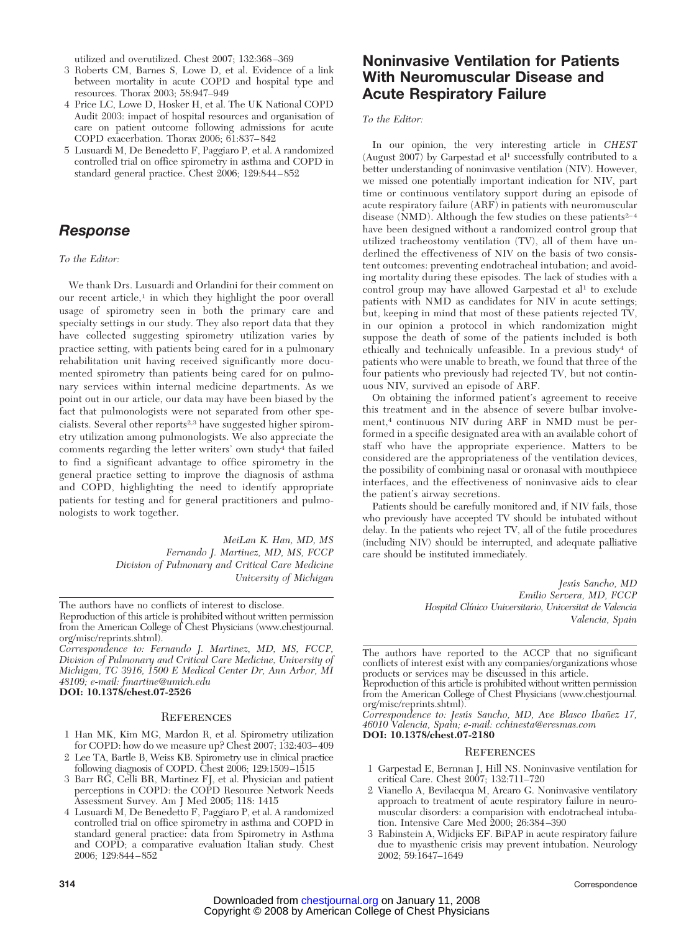utilized and overutilized. Chest 2007; 132:368 –369

- 3 Roberts CM, Barnes S, Lowe D, et al. Evidence of a link between mortality in acute COPD and hospital type and resources. Thorax 2003; 58:947–949
- 4 Price LC, Lowe D, Hosker H, et al. The UK National COPD Audit 2003: impact of hospital resources and organisation of care on patient outcome following admissions for acute COPD exacerbation. Thorax 2006; 61:837– 842
- 5 Lusuardi M, De Benedetto F, Paggiaro P, et al. A randomized controlled trial on office spirometry in asthma and COPD in standard general practice. Chest 2006; 129:844 – 852

## *Response*

*To the Editor:*

We thank Drs. Lusuardi and Orlandini for their comment on our recent article, $\frac{1}{1}$  in which they highlight the poor overall usage of spirometry seen in both the primary care and specialty settings in our study. They also report data that they have collected suggesting spirometry utilization varies by practice setting, with patients being cared for in a pulmonary rehabilitation unit having received significantly more documented spirometry than patients being cared for on pulmonary services within internal medicine departments. As we point out in our article, our data may have been biased by the fact that pulmonologists were not separated from other specialists. Several other reports2,3 have suggested higher spirometry utilization among pulmonologists. We also appreciate the comments regarding the letter writers' own study<sup>4</sup> that failed to find a significant advantage to office spirometry in the general practice setting to improve the diagnosis of asthma and COPD, highlighting the need to identify appropriate patients for testing and for general practitioners and pulmonologists to work together.

> *MeiLan K. Han, MD, MS Fernando J. Martinez, MD, MS, FCCP Division of Pulmonary and Critical Care Medicine University of Michigan*

The authors have no conflicts of interest to disclose.

Reproduction of this article is prohibited without written permission from the American College of Chest Physicians (www.chestjournal. org/misc/reprints.shtml).

*Correspondence to: Fernando J. Martinez, MD, MS, FCCP, Division of Pulmonary and Critical Care Medicine, University of Michigan, TC 3916, 1500 E Medical Center Dr, Ann Arbor, MI 48109; e-mail: fmartine@umich.edu*

**DOI: 10.1378/chest.07-2526**

### **REFERENCES**

- 1 Han MK, Kim MG, Mardon R, et al. Spirometry utilization for COPD: how do we measure up? Chest 2007; 132:403– 409 2 Lee TA, Bartle B, Weiss KB. Spirometry use in clinical practice
- following diagnosis of COPD. Chest 2006; 129:1509 –1515
- 3 Barr RG, Celli BR, Martinez FJ, et al. Physician and patient perceptions in COPD: the COPD Resource Network Needs Assessment Survey. Am J Med 2005; 118: 1415
- 4 Lusuardi M, De Benedetto F, Paggiaro P, et al. A randomized controlled trial on office spirometry in asthma and COPD in standard general practice: data from Spirometry in Asthma and COPD; a comparative evaluation Italian study. Chest 2006; 129:844 – 852

## **Noninvasive Ventilation for Patients With Neuromuscular Disease and Acute Respiratory Failure**

#### *To the Editor:*

In our opinion, the very interesting article in *CHEST* (August  $2007$ ) by Garpestad et al<sup>1</sup> successfully contributed to a better understanding of noninvasive ventilation (NIV). However, we missed one potentially important indication for NIV, part time or continuous ventilatory support during an episode of acute respiratory failure (ARF) in patients with neuromuscular disease ( $\overline{\text{NMD}}$ ). Although the few studies on these patients<sup>2-4</sup> have been designed without a randomized control group that utilized tracheostomy ventilation (TV), all of them have underlined the effectiveness of NIV on the basis of two consistent outcomes: preventing endotracheal intubation; and avoiding mortality during these episodes. The lack of studies with a control group may have allowed Garpestad et al<sup>1</sup> to exclude patients with NMD as candidates for NIV in acute settings; but, keeping in mind that most of these patients rejected TV, in our opinion a protocol in which randomization might suppose the death of some of the patients included is both ethically and technically unfeasible. In a previous study4 of patients who were unable to breath, we found that three of the four patients who previously had rejected TV, but not continuous NIV, survived an episode of ARF.

On obtaining the informed patient's agreement to receive this treatment and in the absence of severe bulbar involvement,4 continuous NIV during ARF in NMD must be performed in a specific designated area with an available cohort of staff who have the appropriate experience. Matters to be considered are the appropriateness of the ventilation devices, the possibility of combining nasal or oronasal with mouthpiece interfaces, and the effectiveness of noninvasive aids to clear the patient's airway secretions.

Patients should be carefully monitored and, if NIV fails, those who previously have accepted TV should be intubated without delay. In the patients who reject TV, all of the futile procedures (including NIV) should be interrupted, and adequate palliative care should be instituted immediately.

> Jesús Sancho, MD *Emilio Servera, MD, FCCP Hospital Clı´nico Universitario, Universitat de Valencia Valencia, Spain*

Correspondence to: Jesús Sancho, MD, Ave Blasco Ibañez 17, *46010 Valencia, Spain; e-mail: cchinesta@eresmas.com*

#### **DOI: 10.1378/chest.07-2180**

#### **REFERENCES**

- 1 Garpestad E, Bernnan J, Hill NS. Noninvasive ventilation for critical Care. Chest 2007; 132:711–720
- 2 Vianello A, Bevilacqua M, Arcaro G. Noninvasive ventilatory approach to treatment of acute respiratory failure in neuromuscular disorders: a comparision with endotracheal intubation. Intensive Care Med 2000; 26:384 –390
- 3 Rabinstein A, Widjicks EF. BiPAP in acute respiratory failure due to myasthenic crisis may prevent intubation. Neurology 2002; 59:1647–1649

The authors have reported to the ACCP that no significant conflicts of interest exist with any companies/organizations whose products or services may be discussed in this article.

Reproduction of this article is prohibited without written permission from the American College of Chest Physicians (www.chestjournal. org/misc/reprints.shtml).